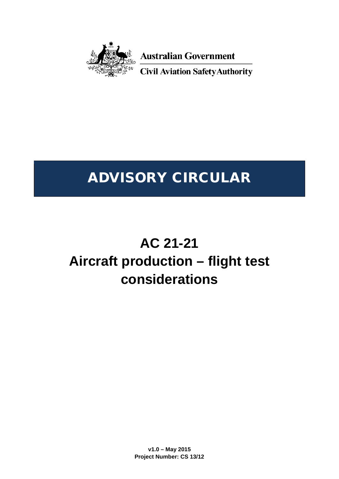

**Australian Government** 

**Civil Aviation Safety Authority** 

# ADVISORY CIRCULAR

# **AC 21-21 Aircraft production – flight test considerations**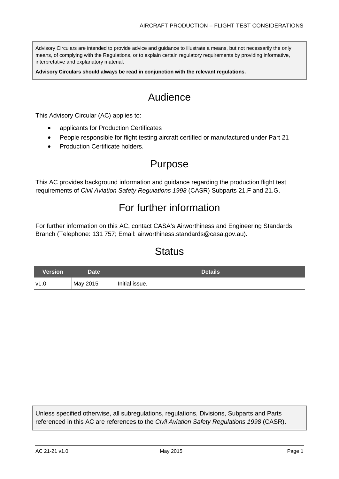Advisory Circulars are intended to provide advice and guidance to illustrate a means, but not necessarily the only means, of complying with the Regulations, or to explain certain regulatory requirements by providing informative, interpretative and explanatory material.

**Advisory Circulars should always be read in conjunction with the relevant regulations.**

# Audience

This Advisory Circular (AC) applies to:

- applicants for Production Certificates
- People responsible for flight testing aircraft certified or manufactured under Part 21
- **Production Certificate holders.**

## Purpose

This AC provides background information and guidance regarding the production flight test requirements of *Civil Aviation Safety Regulations 1998* (CASR) Subparts 21.F and 21.G.

# For further information

For further information on this AC, contact CASA's Airworthiness and Engineering Standards Branch (Telephone: 131 757; Email: [airworthiness.standards@casa.gov.au\)](mailto:airworthiness.standards@casa.gov.au).

# **Status**

| <b>Version</b> ' | Date'    | <b>Details</b> |
|------------------|----------|----------------|
| '∨1.0            | May 2015 | Initial issue. |

Unless specified otherwise, all subregulations, regulations, Divisions, Subparts and Parts referenced in this AC are references to the *Civil Aviation Safety Regulations 1998* (CASR).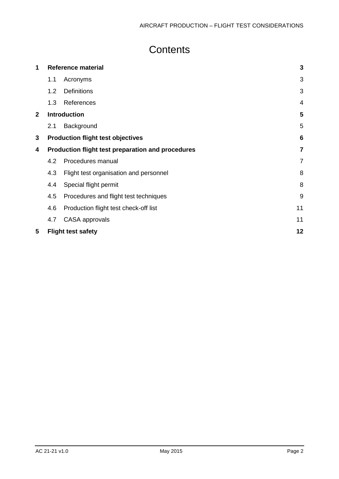# **Contents**

| 1                                                      | <b>Reference material</b>                |                                        | 3              |  |
|--------------------------------------------------------|------------------------------------------|----------------------------------------|----------------|--|
|                                                        | 1.1                                      | Acronyms                               | 3              |  |
|                                                        | 1.2                                      | <b>Definitions</b>                     | 3              |  |
|                                                        | 1.3                                      | References                             | 4              |  |
| $\mathbf{2}$                                           | <b>Introduction</b>                      |                                        | 5              |  |
|                                                        | 2.1                                      | Background                             | 5              |  |
| 3                                                      | <b>Production flight test objectives</b> |                                        |                |  |
| Production flight test preparation and procedures<br>4 |                                          | $\overline{7}$                         |                |  |
|                                                        | 4.2                                      | Procedures manual                      | $\overline{7}$ |  |
|                                                        | 4.3                                      | Flight test organisation and personnel | 8              |  |
|                                                        | 4.4                                      | Special flight permit                  | 8              |  |
|                                                        | 4.5                                      | Procedures and flight test techniques  | 9              |  |
|                                                        | 4.6                                      | Production flight test check-off list  | 11             |  |
|                                                        | 4.7                                      | CASA approvals                         | 11             |  |
| 5                                                      |                                          | <b>Flight test safety</b>              | 12             |  |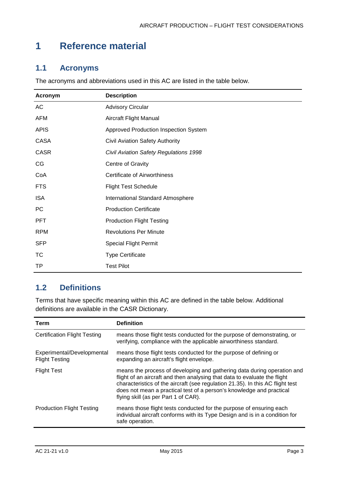# <span id="page-3-0"></span>**1 Reference material**

### <span id="page-3-1"></span>**1.1 Acronyms**

The acronyms and abbreviations used in this AC are listed in the table below.

| Acronym     | <b>Description</b>                            |
|-------------|-----------------------------------------------|
| AC          | <b>Advisory Circular</b>                      |
| <b>AFM</b>  | Aircraft Flight Manual                        |
| <b>APIS</b> | Approved Production Inspection System         |
| CASA        | <b>Civil Aviation Safety Authority</b>        |
| <b>CASR</b> | <b>Civil Aviation Safety Regulations 1998</b> |
| CG          | Centre of Gravity                             |
| CoA         | <b>Certificate of Airworthiness</b>           |
| <b>FTS</b>  | <b>Flight Test Schedule</b>                   |
| <b>ISA</b>  | International Standard Atmosphere             |
| PC          | <b>Production Certificate</b>                 |
| <b>PFT</b>  | <b>Production Flight Testing</b>              |
| <b>RPM</b>  | <b>Revolutions Per Minute</b>                 |
| <b>SFP</b>  | <b>Special Flight Permit</b>                  |
| TC          | <b>Type Certificate</b>                       |
| TP          | <b>Test Pilot</b>                             |

### <span id="page-3-2"></span>**1.2 Definitions**

Terms that have specific meaning within this AC are defined in the table below. Additional definitions are available in the CASR Dictionary.

| Term                                                | <b>Definition</b>                                                                                                                                                                                                                                                                                                                                      |
|-----------------------------------------------------|--------------------------------------------------------------------------------------------------------------------------------------------------------------------------------------------------------------------------------------------------------------------------------------------------------------------------------------------------------|
| <b>Certification Flight Testing</b>                 | means those flight tests conducted for the purpose of demonstrating, or<br>verifying, compliance with the applicable airworthiness standard.                                                                                                                                                                                                           |
| Experimental/Developmental<br><b>Flight Testing</b> | means those flight tests conducted for the purpose of defining or<br>expanding an aircraft's flight envelope.                                                                                                                                                                                                                                          |
| <b>Flight Test</b>                                  | means the process of developing and gathering data during operation and<br>flight of an aircraft and then analysing that data to evaluate the flight<br>characteristics of the aircraft (see regulation 21.35). In this AC flight test<br>does not mean a practical test of a person's knowledge and practical<br>flying skill (as per Part 1 of CAR). |
| <b>Production Flight Testing</b>                    | means those flight tests conducted for the purpose of ensuring each<br>individual aircraft conforms with its Type Design and is in a condition for<br>safe operation.                                                                                                                                                                                  |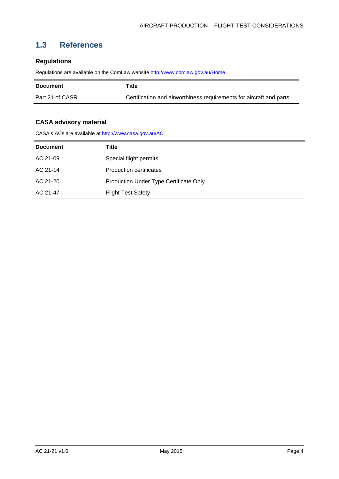### <span id="page-4-0"></span>**1.3 References**

#### **Regulations**

Regulations are available on the ComLaw websit[e http://www.comlaw.gov.au/Home](http://www.comlaw.gov.au/Home)

| <b>Document</b> | Title                                                               |
|-----------------|---------------------------------------------------------------------|
| Part 21 of CASR | Certification and airworthiness requirements for aircraft and parts |

#### **CASA advisory material**

CASA's ACs are available at<http://www.casa.gov.au/AC>

| <b>Document</b> | Title                                  |
|-----------------|----------------------------------------|
| AC 21-09        | Special flight permits                 |
| AC 21-14        | <b>Production certificates</b>         |
| AC 21-20        | Production Under Type Certificate Only |
| AC 21-47        | <b>Flight Test Safety</b>              |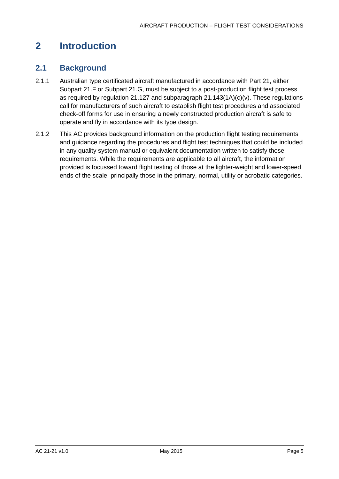# <span id="page-5-0"></span>**2 Introduction**

#### <span id="page-5-1"></span>**2.1 Background**

- 2.1.1 Australian type certificated aircraft manufactured in accordance with Part 21, either Subpart 21.F or Subpart 21.G, must be subject to a post-production flight test process as required by regulation 21.127 and subparagraph  $21.143(1A)(c)(v)$ . These regulations call for manufacturers of such aircraft to establish flight test procedures and associated check-off forms for use in ensuring a newly constructed production aircraft is safe to operate and fly in accordance with its type design.
- 2.1.2 This AC provides background information on the production flight testing requirements and guidance regarding the procedures and flight test techniques that could be included in any quality system manual or equivalent documentation written to satisfy those requirements. While the requirements are applicable to all aircraft, the information provided is focussed toward flight testing of those at the lighter-weight and lower-speed ends of the scale, principally those in the primary, normal, utility or acrobatic categories.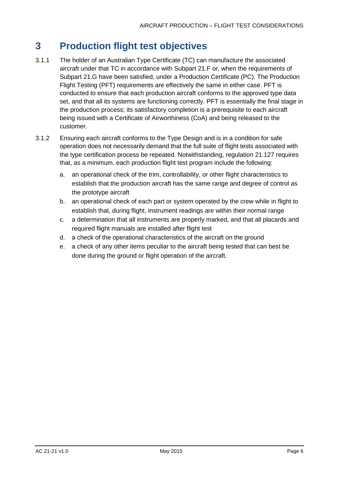# <span id="page-6-0"></span>**3 Production flight test objectives**

- 3.1.1 The holder of an Australian Type Certificate (TC) can manufacture the associated aircraft under that TC in accordance with Subpart 21.F or, when the requirements of Subpart 21.G have been satisfied, under a Production Certificate (PC). The Production Flight Testing (PFT) requirements are effectively the same in either case. PFT is conducted to ensure that each production aircraft conforms to the approved type data set, and that all its systems are functioning correctly. PFT is essentially the final stage in the production process; its satisfactory completion is a prerequisite to each aircraft being issued with a Certificate of Airworthiness (CoA) and being released to the customer.
- 3.1.2 Ensuring each aircraft conforms to the Type Design and is in a condition for safe operation does not necessarily demand that the full suite of flight tests associated with the type certification process be repeated. Notwithstanding, regulation 21.127 requires that, as a minimum, each production flight test program include the following:
	- a. an operational check of the trim, controllability, or other flight characteristics to establish that the production aircraft has the same range and degree of control as the prototype aircraft
	- b. an operational check of each part or system operated by the crew while in flight to establish that, during flight, instrument readings are within their normal range
	- c. a determination that all instruments are properly marked, and that all placards and required flight manuals are installed after flight test
	- d. a check of the operational characteristics of the aircraft on the ground
	- e. a check of any other items peculiar to the aircraft being tested that can best be done during the ground or flight operation of the aircraft.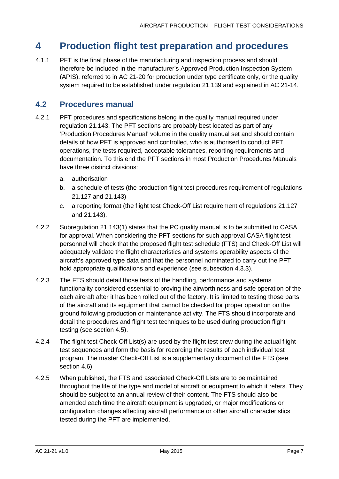# <span id="page-7-0"></span>**4 Production flight test preparation and procedures**

4.1.1 PFT is the final phase of the manufacturing and inspection process and should therefore be included in the manufacturer's Approved Production Inspection System (APIS), referred to in AC 21-20 for production under type certificate only, or the quality system required to be established under regulation 21.139 and explained in AC 21-14.

### <span id="page-7-1"></span>**4.2 Procedures manual**

- 4.2.1 PFT procedures and specifications belong in the quality manual required under regulation 21.143. The PFT sections are probably best located as part of any 'Production Procedures Manual' volume in the quality manual set and should contain details of how PFT is approved and controlled, who is authorised to conduct PFT operations, the tests required, acceptable tolerances, reporting requirements and documentation. To this end the PFT sections in most Production Procedures Manuals have three distinct divisions:
	- a. authorisation
	- b. a schedule of tests (the production flight test procedures requirement of regulations 21.127 and 21.143)
	- c. a reporting format (the flight test Check-Off List requirement of regulations 21.127 and 21.143).
- 4.2.2 Subregulation 21.143(1) states that the PC quality manual is to be submitted to CASA for approval. When considering the PFT sections for such approval CASA flight test personnel will check that the proposed flight test schedule (FTS) and Check-Off List will adequately validate the flight characteristics and systems operability aspects of the aircraft's approved type data and that the personnel nominated to carry out the PFT hold appropriate qualifications and experience (see subsection [4.3.3\)](#page-8-2).
- 4.2.3 The FTS should detail those tests of the handling, performance and systems functionality considered essential to proving the airworthiness and safe operation of the each aircraft after it has been rolled out of the factory. It is limited to testing those parts of the aircraft and its equipment that cannot be checked for proper operation on the ground following production or maintenance activity. The FTS should incorporate and detail the procedures and flight test techniques to be used during production flight testing (see section [4.5\)](#page-9-0).
- 4.2.4 The flight test Check-Off List(s) are used by the flight test crew during the actual flight test sequences and form the basis for recording the results of each individual test program. The master Check-Off List is a supplementary document of the FTS (see section [4.6\)](#page-11-0).
- 4.2.5 When published, the FTS and associated Check-Off Lists are to be maintained throughout the life of the type and model of aircraft or equipment to which it refers. They should be subject to an annual review of their content. The FTS should also be amended each time the aircraft equipment is upgraded, or major modifications or configuration changes affecting aircraft performance or other aircraft characteristics tested during the PFT are implemented.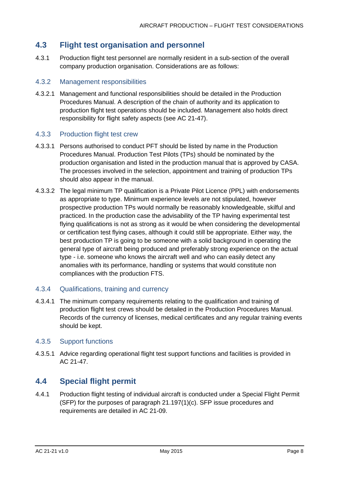### <span id="page-8-0"></span>**4.3 Flight test organisation and personnel**

4.3.1 Production flight test personnel are normally resident in a sub-section of the overall company production organisation. Considerations are as follows:

#### 4.3.2 Management responsibilities

4.3.2.1 Management and functional responsibilities should be detailed in the Production Procedures Manual. A description of the chain of authority and its application to production flight test operations should be included. Management also holds direct responsibility for flight safety aspects (see AC 21-47).

#### <span id="page-8-2"></span>4.3.3 Production flight test crew

- 4.3.3.1 Persons authorised to conduct PFT should be listed by name in the Production Procedures Manual. Production Test Pilots (TPs) should be nominated by the production organisation and listed in the production manual that is approved by CASA. The processes involved in the selection, appointment and training of production TPs should also appear in the manual.
- 4.3.3.2 The legal minimum TP qualification is a Private Pilot Licence (PPL) with endorsements as appropriate to type. Minimum experience levels are not stipulated, however prospective production TPs would normally be reasonably knowledgeable, skilful and practiced. In the production case the advisability of the TP having experimental test flying qualifications is not as strong as it would be when considering the developmental or certification test flying cases, although it could still be appropriate. Either way, the best production TP is going to be someone with a solid background in operating the general type of aircraft being produced and preferably strong experience on the actual type - i.e. someone who knows the aircraft well and who can easily detect any anomalies with its performance, handling or systems that would constitute non compliances with the production FTS.

#### 4.3.4 Qualifications, training and currency

4.3.4.1 The minimum company requirements relating to the qualification and training of production flight test crews should be detailed in the Production Procedures Manual. Records of the currency of licenses, medical certificates and any regular training events should be kept.

#### 4.3.5 Support functions

4.3.5.1 Advice regarding operational flight test support functions and facilities is provided in AC 21-47.

#### <span id="page-8-1"></span>**4.4 Special flight permit**

4.4.1 Production flight testing of individual aircraft is conducted under a Special Flight Permit (SFP) for the purposes of paragraph 21.197(1)(c). SFP issue procedures and requirements are detailed in AC 21-09.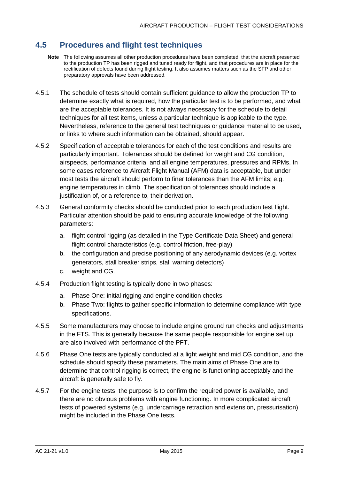#### <span id="page-9-0"></span>**4.5 Procedures and flight test techniques**

- **Note** The following assumes all other production procedures have been completed, that the aircraft presented to the production TP has been rigged and tuned ready for flight, and that procedures are in place for the rectification of defects found during flight testing. It also assumes matters such as the SFP and other preparatory approvals have been addressed.
- 4.5.1 The schedule of tests should contain sufficient guidance to allow the production TP to determine exactly what is required, how the particular test is to be performed, and what are the acceptable tolerances. It is not always necessary for the schedule to detail techniques for all test items, unless a particular technique is applicable to the type. Nevertheless, reference to the general test techniques or guidance material to be used, or links to where such information can be obtained, should appear.
- 4.5.2 Specification of acceptable tolerances for each of the test conditions and results are particularly important. Tolerances should be defined for weight and CG condition, airspeeds, performance criteria, and all engine temperatures, pressures and RPMs. In some cases reference to Aircraft Flight Manual (AFM) data is acceptable, but under most tests the aircraft should perform to finer tolerances than the AFM limits; e.g. engine temperatures in climb. The specification of tolerances should include a justification of, or a reference to, their derivation.
- 4.5.3 General conformity checks should be conducted prior to each production test flight. Particular attention should be paid to ensuring accurate knowledge of the following parameters:
	- a. flight control rigging (as detailed in the Type Certificate Data Sheet) and general flight control characteristics (e.g. control friction, free-play)
	- b. the configuration and precise positioning of any aerodynamic devices (e.g. vortex generators, stall breaker strips, stall warning detectors)
	- c. weight and CG.
- 4.5.4 Production flight testing is typically done in two phases:
	- a. Phase One: initial rigging and engine condition checks
	- b. Phase Two: flights to gather specific information to determine compliance with type specifications.
- 4.5.5 Some manufacturers may choose to include engine ground run checks and adjustments in the FTS. This is generally because the same people responsible for engine set up are also involved with performance of the PFT.
- 4.5.6 Phase One tests are typically conducted at a light weight and mid CG condition, and the schedule should specify these parameters. The main aims of Phase One are to determine that control rigging is correct, the engine is functioning acceptably and the aircraft is generally safe to fly.
- 4.5.7 For the engine tests, the purpose is to confirm the required power is available, and there are no obvious problems with engine functioning. In more complicated aircraft tests of powered systems (e.g. undercarriage retraction and extension, pressurisation) might be included in the Phase One tests.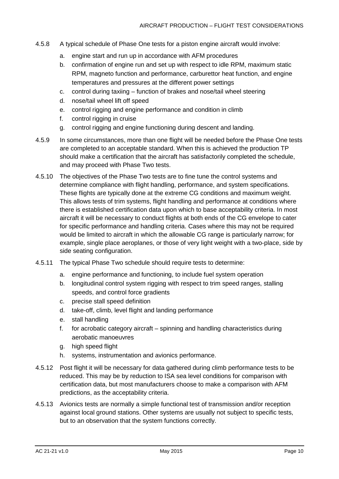- 4.5.8 A typical schedule of Phase One tests for a piston engine aircraft would involve:
	- a. engine start and run up in accordance with AFM procedures
	- b. confirmation of engine run and set up with respect to idle RPM, maximum static RPM, magneto function and performance, carburettor heat function, and engine temperatures and pressures at the different power settings
	- c. control during taxiing function of brakes and nose/tail wheel steering
	- d. nose/tail wheel lift off speed
	- e. control rigging and engine performance and condition in climb
	- f. control rigging in cruise
	- g. control rigging and engine functioning during descent and landing.
- 4.5.9 In some circumstances, more than one flight will be needed before the Phase One tests are completed to an acceptable standard. When this is achieved the production TP should make a certification that the aircraft has satisfactorily completed the schedule, and may proceed with Phase Two tests.
- 4.5.10 The objectives of the Phase Two tests are to fine tune the control systems and determine compliance with flight handling, performance, and system specifications. These flights are typically done at the extreme CG conditions and maximum weight. This allows tests of trim systems, flight handling and performance at conditions where there is established certification data upon which to base acceptability criteria. In most aircraft it will be necessary to conduct flights at both ends of the CG envelope to cater for specific performance and handling criteria. Cases where this may not be required would be limited to aircraft in which the allowable CG range is particularly narrow; for example, single place aeroplanes, or those of very light weight with a two-place, side by side seating configuration.
- 4.5.11 The typical Phase Two schedule should require tests to determine:
	- a. engine performance and functioning, to include fuel system operation
	- b. longitudinal control system rigging with respect to trim speed ranges, stalling speeds, and control force gradients
	- c. precise stall speed definition
	- d. take-off, climb, level flight and landing performance
	- e. stall handling
	- f. for acrobatic category aircraft spinning and handling characteristics during aerobatic manoeuvres
	- g. high speed flight
	- h. systems, instrumentation and avionics performance.
- 4.5.12 Post flight it will be necessary for data gathered during climb performance tests to be reduced. This may be by reduction to ISA sea level conditions for comparison with certification data, but most manufacturers choose to make a comparison with AFM predictions, as the acceptability criteria.
- 4.5.13 Avionics tests are normally a simple functional test of transmission and/or reception against local ground stations. Other systems are usually not subject to specific tests, but to an observation that the system functions correctly.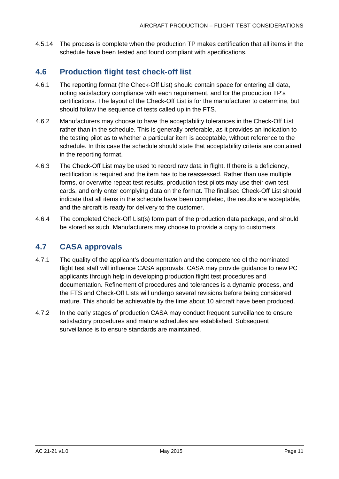4.5.14 The process is complete when the production TP makes certification that all items in the schedule have been tested and found compliant with specifications.

### <span id="page-11-0"></span>**4.6 Production flight test check-off list**

- 4.6.1 The reporting format (the Check-Off List) should contain space for entering all data, noting satisfactory compliance with each requirement, and for the production TP's certifications. The layout of the Check-Off List is for the manufacturer to determine, but should follow the sequence of tests called up in the FTS.
- 4.6.2 Manufacturers may choose to have the acceptability tolerances in the Check-Off List rather than in the schedule. This is generally preferable, as it provides an indication to the testing pilot as to whether a particular item is acceptable, without reference to the schedule. In this case the schedule should state that acceptability criteria are contained in the reporting format.
- 4.6.3 The Check-Off List may be used to record raw data in flight. If there is a deficiency, rectification is required and the item has to be reassessed. Rather than use multiple forms, or overwrite repeat test results, production test pilots may use their own test cards, and only enter complying data on the format. The finalised Check-Off List should indicate that all items in the schedule have been completed, the results are acceptable, and the aircraft is ready for delivery to the customer.
- 4.6.4 The completed Check-Off List(s) form part of the production data package, and should be stored as such. Manufacturers may choose to provide a copy to customers.

### <span id="page-11-1"></span>**4.7 CASA approvals**

- 4.7.1 The quality of the applicant's documentation and the competence of the nominated flight test staff will influence CASA approvals. CASA may provide guidance to new PC applicants through help in developing production flight test procedures and documentation. Refinement of procedures and tolerances is a dynamic process, and the FTS and Check-Off Lists will undergo several revisions before being considered mature. This should be achievable by the time about 10 aircraft have been produced.
- 4.7.2 In the early stages of production CASA may conduct frequent surveillance to ensure satisfactory procedures and mature schedules are established. Subsequent surveillance is to ensure standards are maintained.